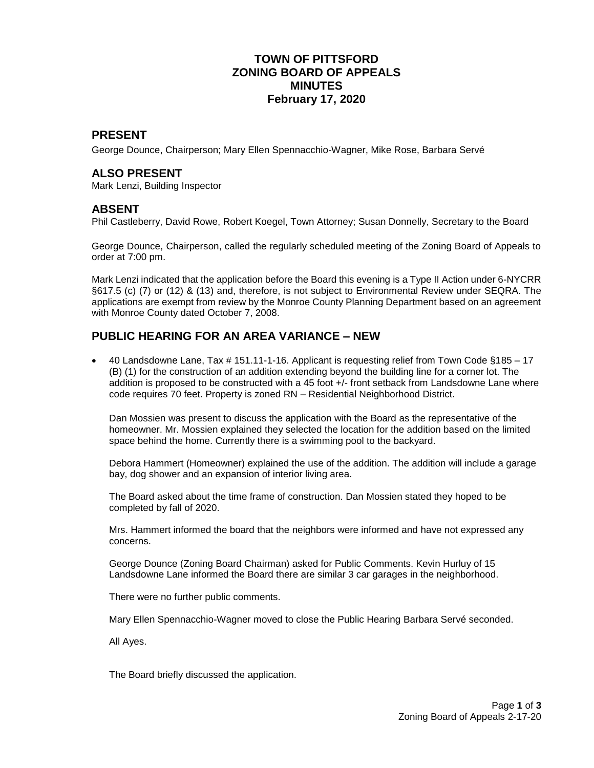## **TOWN OF PITTSFORD ZONING BOARD OF APPEALS MINUTES February 17, 2020**

### **PRESENT**

George Dounce, Chairperson; Mary Ellen Spennacchio-Wagner, Mike Rose, Barbara Servé

#### **ALSO PRESENT**

Mark Lenzi, Building Inspector

#### **ABSENT**

Phil Castleberry, David Rowe, Robert Koegel, Town Attorney; Susan Donnelly, Secretary to the Board

George Dounce, Chairperson, called the regularly scheduled meeting of the Zoning Board of Appeals to order at 7:00 pm.

Mark Lenzi indicated that the application before the Board this evening is a Type II Action under 6-NYCRR §617.5 (c) (7) or (12) & (13) and, therefore, is not subject to Environmental Review under SEQRA. The applications are exempt from review by the Monroe County Planning Department based on an agreement with Monroe County dated October 7, 2008.

## **PUBLIC HEARING FOR AN AREA VARIANCE – NEW**

 40 Landsdowne Lane, Tax # 151.11-1-16. Applicant is requesting relief from Town Code §185 – 17 (B) (1) for the construction of an addition extending beyond the building line for a corner lot. The addition is proposed to be constructed with a 45 foot +/- front setback from Landsdowne Lane where code requires 70 feet. Property is zoned RN – Residential Neighborhood District.

Dan Mossien was present to discuss the application with the Board as the representative of the homeowner. Mr. Mossien explained they selected the location for the addition based on the limited space behind the home. Currently there is a swimming pool to the backyard.

Debora Hammert (Homeowner) explained the use of the addition. The addition will include a garage bay, dog shower and an expansion of interior living area.

The Board asked about the time frame of construction. Dan Mossien stated they hoped to be completed by fall of 2020.

Mrs. Hammert informed the board that the neighbors were informed and have not expressed any concerns.

George Dounce (Zoning Board Chairman) asked for Public Comments. Kevin Hurluy of 15 Landsdowne Lane informed the Board there are similar 3 car garages in the neighborhood.

There were no further public comments.

Mary Ellen Spennacchio-Wagner moved to close the Public Hearing Barbara Servé seconded.

All Ayes.

The Board briefly discussed the application.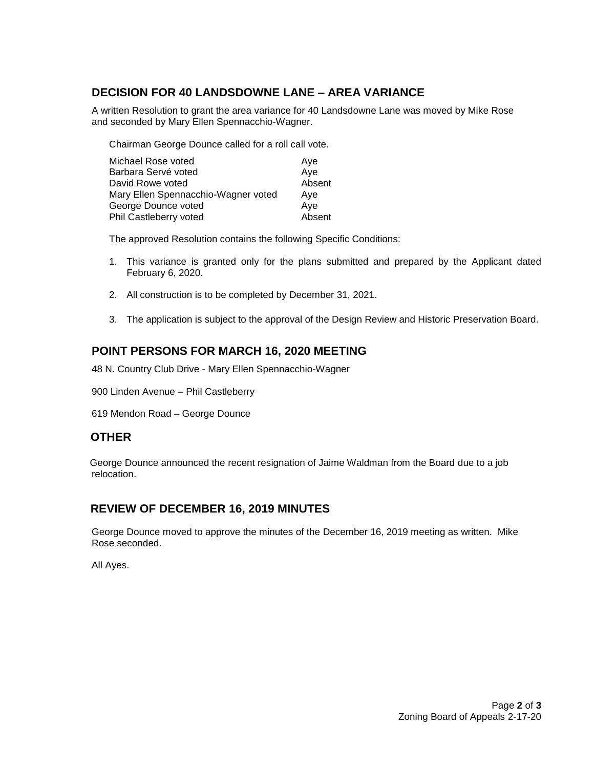# **DECISION FOR 40 LANDSDOWNE LANE – AREA VARIANCE**

A written Resolution to grant the area variance for 40 Landsdowne Lane was moved by Mike Rose and seconded by Mary Ellen Spennacchio-Wagner.

Chairman George Dounce called for a roll call vote.

| Michael Rose voted                  | Ave    |
|-------------------------------------|--------|
| Barbara Servé voted                 | Aye    |
| David Rowe voted                    | Absent |
| Mary Ellen Spennacchio-Wagner voted | Ave    |
| George Dounce voted                 | Aye    |
| Phil Castleberry voted              | Absent |

The approved Resolution contains the following Specific Conditions:

- 1. This variance is granted only for the plans submitted and prepared by the Applicant dated February 6, 2020.
- 2. All construction is to be completed by December 31, 2021.
- 3. The application is subject to the approval of the Design Review and Historic Preservation Board.

# **POINT PERSONS FOR MARCH 16, 2020 MEETING**

48 N. Country Club Drive - Mary Ellen Spennacchio-Wagner

900 Linden Avenue – Phil Castleberry

619 Mendon Road – George Dounce

#### **OTHER**

George Dounce announced the recent resignation of Jaime Waldman from the Board due to a job relocation.

## **REVIEW OF DECEMBER 16, 2019 MINUTES**

George Dounce moved to approve the minutes of the December 16, 2019 meeting as written. Mike Rose seconded.

All Ayes.